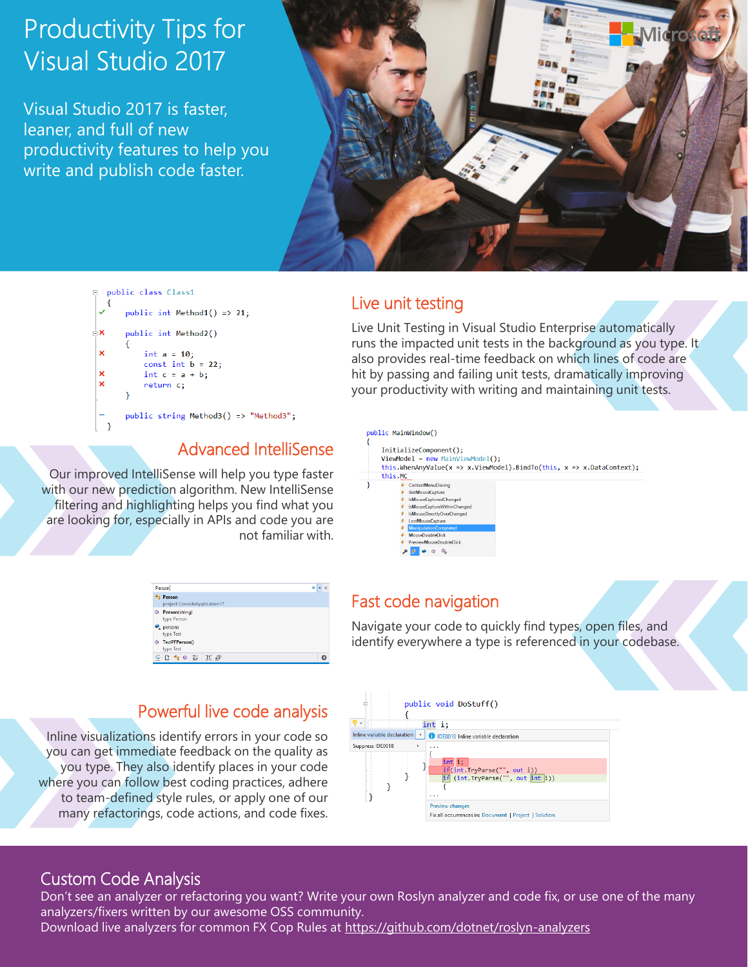# **Productivity Tips for Visual Studio 2017**

Visual Studio 2017 is faster, leaner, and full of new productivity features to help you write and publish code faster.





### Live unit testing

Live Unit Testing in Visual Studio Enterprise automatically runs the impacted unit tests in the background as you type. It also provides real-time feedback on which lines of code are hit by passing and failing unit tests, dramatically improving your productivity with writing and maintaining unit tests.

Our improved IntelliSense will help you type faster with our new prediction algorithm. New IntelliSense filtering and highlighting helps you find what you are looking for, especially in APIs and code you are not familiar with.

| Person                                        |    |
|-----------------------------------------------|----|
| <b>Person</b><br>project ConsoleApplication17 |    |
| Person(string)<br>0<br>type Person            |    |
| persons<br>type Test                          |    |
| TestPFPerson()<br>0<br>type Test              |    |
| B P<br>m.<br>壮<br>化田<br>-⊕-                   | r. |

### Powerful live code analysis

Inline visualizations identify errors in your code so you can get immediate feedback on the quality as you type. They also identify places in your code where you can follow best coding practices, adhere to team-defined style rules, or apply one of our many refactorings, code actions, and code fixes.



### Fast code navigation

Navigate your code to quickly find types, open files, and identify everywhere a type is referenced in your codebase.



#### Custom Code Analysis

Don't see an analyzer or refactoring you want? Write your own Roslyn analyzer and code fix, or use one of the many analyzers/fixers written by our awesome OSS community. Download live analyzers for common FX Cop Rules at https://github.com/dotnet/roslyn-analyzers